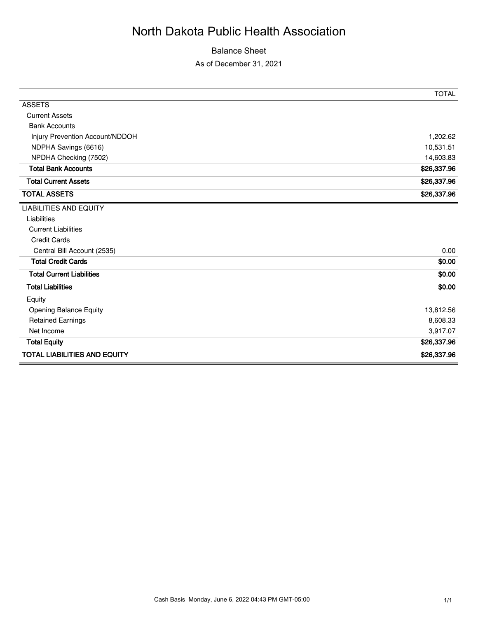# North Dakota Public Health Association

Balance Sheet

As of December 31, 2021

|                                     | <b>TOTAL</b> |
|-------------------------------------|--------------|
| <b>ASSETS</b>                       |              |
| <b>Current Assets</b>               |              |
| <b>Bank Accounts</b>                |              |
| Injury Prevention Account/NDDOH     | 1,202.62     |
| NDPHA Savings (6616)                | 10,531.51    |
| NPDHA Checking (7502)               | 14,603.83    |
| <b>Total Bank Accounts</b>          | \$26,337.96  |
| <b>Total Current Assets</b>         | \$26,337.96  |
| <b>TOTAL ASSETS</b>                 | \$26,337.96  |
| <b>LIABILITIES AND EQUITY</b>       |              |
| Liabilities                         |              |
| <b>Current Liabilities</b>          |              |
| <b>Credit Cards</b>                 |              |
| Central Bill Account (2535)         | 0.00         |
| <b>Total Credit Cards</b>           | \$0.00       |
| <b>Total Current Liabilities</b>    | \$0.00       |
| <b>Total Liabilities</b>            | \$0.00       |
| Equity                              |              |
| Opening Balance Equity              | 13,812.56    |
| <b>Retained Earnings</b>            | 8,608.33     |
| Net Income                          | 3,917.07     |
| <b>Total Equity</b>                 | \$26,337.96  |
| <b>TOTAL LIABILITIES AND EQUITY</b> | \$26,337.96  |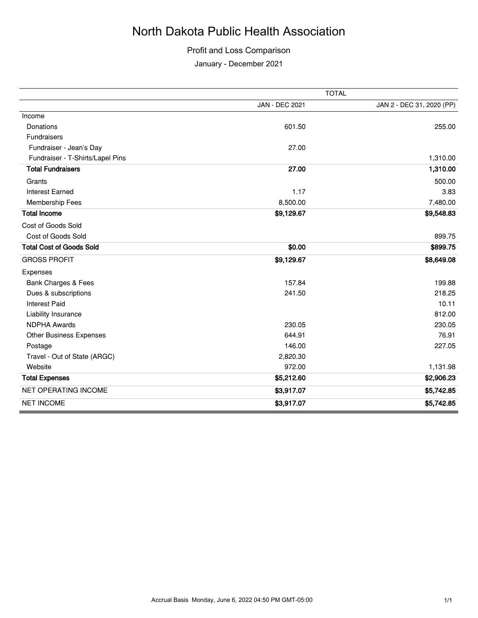## North Dakota Public Health Association

#### Profit and Loss Comparison

January - December 2021

|                                  | <b>TOTAL</b>          |                           |
|----------------------------------|-----------------------|---------------------------|
|                                  | <b>JAN - DEC 2021</b> | JAN 2 - DEC 31, 2020 (PP) |
| Income                           |                       |                           |
| Donations                        | 601.50                | 255.00                    |
| Fundraisers                      |                       |                           |
| Fundraiser - Jean's Day          | 27.00                 |                           |
| Fundraiser - T-Shirts/Lapel Pins |                       | 1,310.00                  |
| <b>Total Fundraisers</b>         | 27.00                 | 1,310.00                  |
| Grants                           |                       | 500.00                    |
| <b>Interest Earned</b>           | 1.17                  | 3.83                      |
| Membership Fees                  | 8,500.00              | 7,480.00                  |
| <b>Total Income</b>              | \$9,129.67            | \$9,548.83                |
| Cost of Goods Sold               |                       |                           |
| Cost of Goods Sold               |                       | 899.75                    |
| <b>Total Cost of Goods Sold</b>  | \$0.00                | \$899.75                  |
| <b>GROSS PROFIT</b>              | \$9,129.67            | \$8,649.08                |
| Expenses                         |                       |                           |
| Bank Charges & Fees              | 157.84                | 199.88                    |
| Dues & subscriptions             | 241.50                | 218.25                    |
| <b>Interest Paid</b>             |                       | 10.11                     |
| Liability Insurance              |                       | 812.00                    |
| <b>NDPHA Awards</b>              | 230.05                | 230.05                    |
| Other Business Expenses          | 644.91                | 76.91                     |
| Postage                          | 146.00                | 227.05                    |
| Travel - Out of State (ARGC)     | 2,820.30              |                           |
| Website                          | 972.00                | 1,131.98                  |
| <b>Total Expenses</b>            | \$5,212.60            | \$2,906.23                |
| <b>NET OPERATING INCOME</b>      | \$3,917.07            | \$5,742.85                |
| <b>NET INCOME</b>                | \$3,917.07            | \$5,742.85                |